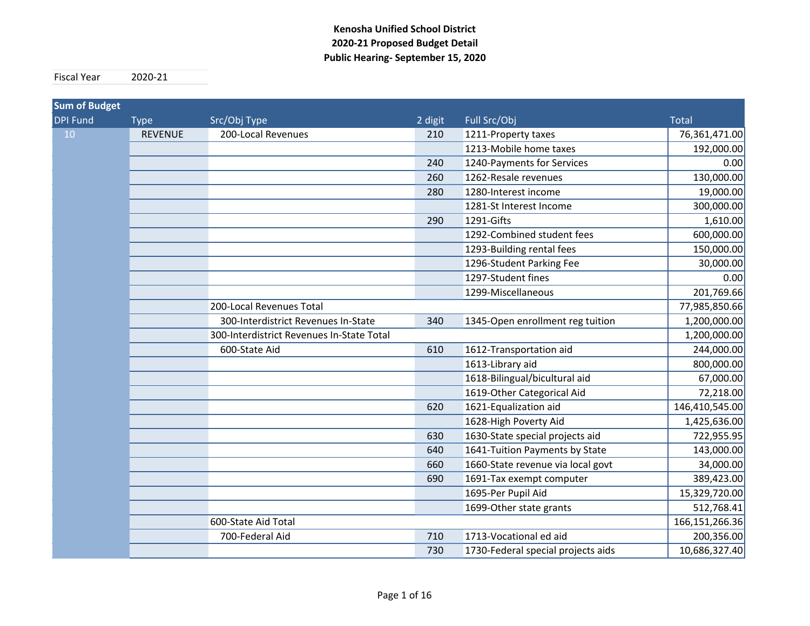#### **Kenosha Unified School District 2020‐21 Proposed Budget Detail Public Hearing‐ September 15, 2020**

Fiscal Year 2020-21

| <b>Sum of Budget</b> |                |                                           |         |                                    |                   |
|----------------------|----------------|-------------------------------------------|---------|------------------------------------|-------------------|
| <b>DPI Fund</b>      | <b>Type</b>    | Src/Obj Type                              | 2 digit | Full Src/Obj                       | <b>Total</b>      |
| 10                   | <b>REVENUE</b> | 200-Local Revenues                        | 210     | 1211-Property taxes                | 76,361,471.00     |
|                      |                |                                           |         | 1213-Mobile home taxes             | 192,000.00        |
|                      |                |                                           | 240     | 1240-Payments for Services         | 0.00              |
|                      |                |                                           | 260     | 1262-Resale revenues               | 130,000.00        |
|                      |                |                                           | 280     | 1280-Interest income               | 19,000.00         |
|                      |                |                                           |         | 1281-St Interest Income            | 300,000.00        |
|                      |                |                                           | 290     | 1291-Gifts                         | 1,610.00          |
|                      |                |                                           |         | 1292-Combined student fees         | 600,000.00        |
|                      |                |                                           |         | 1293-Building rental fees          | 150,000.00        |
|                      |                |                                           |         | 1296-Student Parking Fee           | 30,000.00         |
|                      |                |                                           |         | 1297-Student fines                 | 0.00              |
|                      |                |                                           |         | 1299-Miscellaneous                 | 201,769.66        |
|                      |                | 200-Local Revenues Total                  |         |                                    | 77,985,850.66     |
|                      |                | 300-Interdistrict Revenues In-State       | 340     | 1345-Open enrollment reg tuition   | 1,200,000.00      |
|                      |                | 300-Interdistrict Revenues In-State Total |         |                                    | 1,200,000.00      |
|                      |                | 600-State Aid                             | 610     | 1612-Transportation aid            | 244,000.00        |
|                      |                |                                           |         | 1613-Library aid                   | 800,000.00        |
|                      |                |                                           |         | 1618-Bilingual/bicultural aid      | 67,000.00         |
|                      |                |                                           |         | 1619-Other Categorical Aid         | 72,218.00         |
|                      |                |                                           | 620     | 1621-Equalization aid              | 146,410,545.00    |
|                      |                |                                           |         | 1628-High Poverty Aid              | 1,425,636.00      |
|                      |                |                                           | 630     | 1630-State special projects aid    | 722,955.95        |
|                      |                |                                           | 640     | 1641-Tuition Payments by State     | 143,000.00        |
|                      |                |                                           | 660     | 1660-State revenue via local govt  | 34,000.00         |
|                      |                |                                           | 690     | 1691-Tax exempt computer           | 389,423.00        |
|                      |                |                                           |         | 1695-Per Pupil Aid                 | 15,329,720.00     |
|                      |                |                                           |         | 1699-Other state grants            | 512,768.41        |
|                      |                | 600-State Aid Total                       |         |                                    | 166, 151, 266. 36 |
|                      |                | 700-Federal Aid                           | 710     | 1713-Vocational ed aid             | 200,356.00        |
|                      |                |                                           | 730     | 1730-Federal special projects aids | 10,686,327.40     |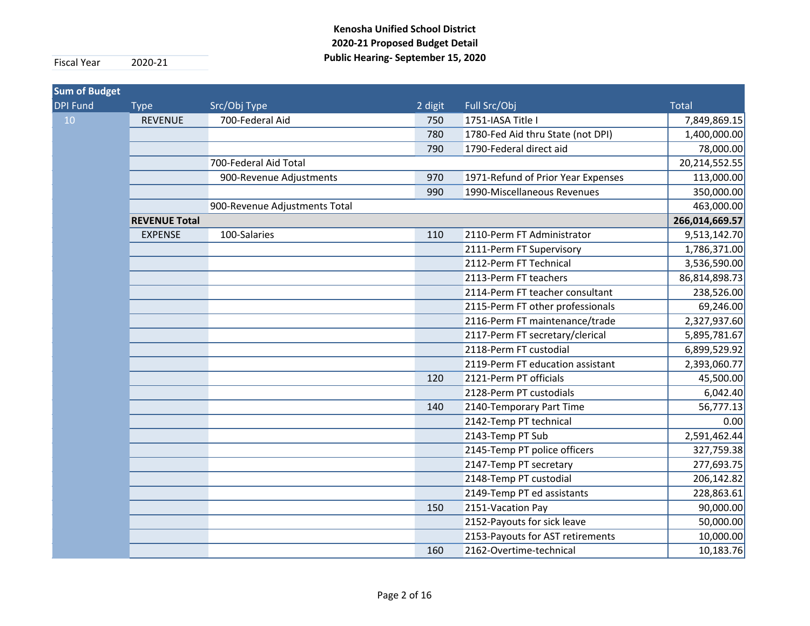| <b>Sum of Budget</b> |                      |                               |         |                                    |                |
|----------------------|----------------------|-------------------------------|---------|------------------------------------|----------------|
| <b>DPI Fund</b>      | <b>Type</b>          | Src/Obj Type                  | 2 digit | Full Src/Obj                       | <b>Total</b>   |
| 10                   | <b>REVENUE</b>       | 700-Federal Aid               | 750     | 1751-IASA Title I                  | 7,849,869.15   |
|                      |                      |                               | 780     | 1780-Fed Aid thru State (not DPI)  | 1,400,000.00   |
|                      |                      |                               | 790     | 1790-Federal direct aid            | 78,000.00      |
|                      |                      | 700-Federal Aid Total         |         |                                    | 20,214,552.55  |
|                      |                      | 900-Revenue Adjustments       | 970     | 1971-Refund of Prior Year Expenses | 113,000.00     |
|                      |                      |                               | 990     | 1990-Miscellaneous Revenues        | 350,000.00     |
|                      |                      | 900-Revenue Adjustments Total |         |                                    | 463,000.00     |
|                      | <b>REVENUE Total</b> |                               |         |                                    | 266,014,669.57 |
|                      | <b>EXPENSE</b>       | 100-Salaries                  | 110     | 2110-Perm FT Administrator         | 9,513,142.70   |
|                      |                      |                               |         | 2111-Perm FT Supervisory           | 1,786,371.00   |
|                      |                      |                               |         | 2112-Perm FT Technical             | 3,536,590.00   |
|                      |                      |                               |         | 2113-Perm FT teachers              | 86,814,898.73  |
|                      |                      |                               |         | 2114-Perm FT teacher consultant    | 238,526.00     |
|                      |                      |                               |         | 2115-Perm FT other professionals   | 69,246.00      |
|                      |                      |                               |         | 2116-Perm FT maintenance/trade     | 2,327,937.60   |
|                      |                      |                               |         | 2117-Perm FT secretary/clerical    | 5,895,781.67   |
|                      |                      |                               |         | 2118-Perm FT custodial             | 6,899,529.92   |
|                      |                      |                               |         | 2119-Perm FT education assistant   | 2,393,060.77   |
|                      |                      |                               | 120     | 2121-Perm PT officials             | 45,500.00      |
|                      |                      |                               |         | 2128-Perm PT custodials            | 6,042.40       |
|                      |                      |                               | 140     | 2140-Temporary Part Time           | 56,777.13      |
|                      |                      |                               |         | 2142-Temp PT technical             | 0.00           |
|                      |                      |                               |         | 2143-Temp PT Sub                   | 2,591,462.44   |
|                      |                      |                               |         | 2145-Temp PT police officers       | 327,759.38     |
|                      |                      |                               |         | 2147-Temp PT secretary             | 277,693.75     |
|                      |                      |                               |         | 2148-Temp PT custodial             | 206,142.82     |
|                      |                      |                               |         | 2149-Temp PT ed assistants         | 228,863.61     |
|                      |                      |                               | 150     | 2151-Vacation Pay                  | 90,000.00      |
|                      |                      |                               |         | 2152-Payouts for sick leave        | 50,000.00      |
|                      |                      |                               |         | 2153-Payouts for AST retirements   | 10,000.00      |
|                      |                      |                               | 160     | 2162-Overtime-technical            | 10,183.76      |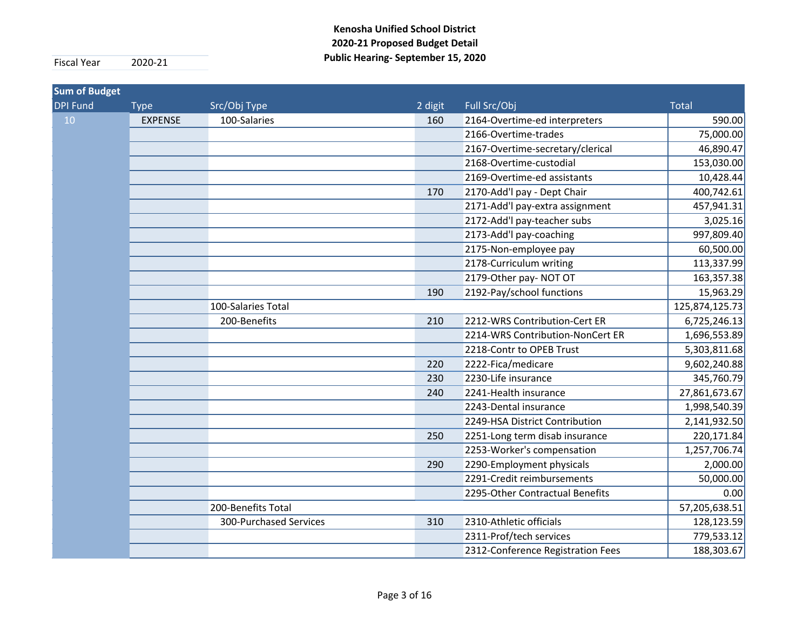| DPI Fund | <b>Type</b>    | Src/Obj Type           |         |                                   |                |
|----------|----------------|------------------------|---------|-----------------------------------|----------------|
|          |                |                        | 2 digit | Full Src/Obj                      | <b>Total</b>   |
| 10       | <b>EXPENSE</b> | 100-Salaries           | 160     | 2164-Overtime-ed interpreters     | 590.00         |
|          |                |                        |         | 2166-Overtime-trades              | 75,000.00      |
|          |                |                        |         | 2167-Overtime-secretary/clerical  | 46,890.47      |
|          |                |                        |         | 2168-Overtime-custodial           | 153,030.00     |
|          |                |                        |         | 2169-Overtime-ed assistants       | 10,428.44      |
|          |                |                        | 170     | 2170-Add'l pay - Dept Chair       | 400,742.61     |
|          |                |                        |         | 2171-Add'l pay-extra assignment   | 457,941.31     |
|          |                |                        |         | 2172-Add'l pay-teacher subs       | 3,025.16       |
|          |                |                        |         | 2173-Add'l pay-coaching           | 997,809.40     |
|          |                |                        |         | 2175-Non-employee pay             | 60,500.00      |
|          |                |                        |         | 2178-Curriculum writing           | 113,337.99     |
|          |                |                        |         | 2179-Other pay- NOT OT            | 163,357.38     |
|          |                |                        | 190     | 2192-Pay/school functions         | 15,963.29      |
|          |                | 100-Salaries Total     |         |                                   | 125,874,125.73 |
|          |                | 200-Benefits           | 210     | 2212-WRS Contribution-Cert ER     | 6,725,246.13   |
|          |                |                        |         | 2214-WRS Contribution-NonCert ER  | 1,696,553.89   |
|          |                |                        |         | 2218-Contr to OPEB Trust          | 5,303,811.68   |
|          |                |                        | 220     | 2222-Fica/medicare                | 9,602,240.88   |
|          |                |                        | 230     | 2230-Life insurance               | 345,760.79     |
|          |                |                        | 240     | 2241-Health insurance             | 27,861,673.67  |
|          |                |                        |         | 2243-Dental insurance             | 1,998,540.39   |
|          |                |                        |         | 2249-HSA District Contribution    | 2,141,932.50   |
|          |                |                        | 250     | 2251-Long term disab insurance    | 220,171.84     |
|          |                |                        |         | 2253-Worker's compensation        | 1,257,706.74   |
|          |                |                        | 290     | 2290-Employment physicals         | 2,000.00       |
|          |                |                        |         | 2291-Credit reimbursements        | 50,000.00      |
|          |                |                        |         | 2295-Other Contractual Benefits   | 0.00           |
|          |                | 200-Benefits Total     |         |                                   | 57,205,638.51  |
|          |                | 300-Purchased Services | 310     | 2310-Athletic officials           | 128,123.59     |
|          |                |                        |         | 2311-Prof/tech services           | 779,533.12     |
|          |                |                        |         | 2312-Conference Registration Fees | 188,303.67     |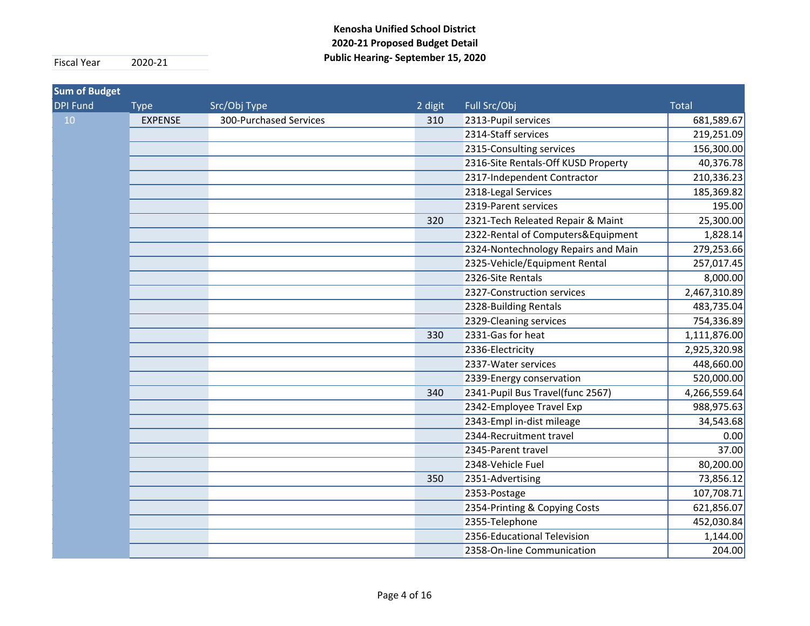| <b>Sum of Budget</b> |                |                        |         |                                     |              |
|----------------------|----------------|------------------------|---------|-------------------------------------|--------------|
| <b>DPI Fund</b>      | <b>Type</b>    | Src/Obj Type           | 2 digit | Full Src/Obj                        | <b>Total</b> |
| 10 <sup>°</sup>      | <b>EXPENSE</b> | 300-Purchased Services | 310     | 2313-Pupil services                 | 681,589.67   |
|                      |                |                        |         | 2314-Staff services                 | 219,251.09   |
|                      |                |                        |         | 2315-Consulting services            | 156,300.00   |
|                      |                |                        |         | 2316-Site Rentals-Off KUSD Property | 40,376.78    |
|                      |                |                        |         | 2317-Independent Contractor         | 210,336.23   |
|                      |                |                        |         | 2318-Legal Services                 | 185,369.82   |
|                      |                |                        |         | 2319-Parent services                | 195.00       |
|                      |                |                        | 320     | 2321-Tech Releated Repair & Maint   | 25,300.00    |
|                      |                |                        |         | 2322-Rental of Computers&Equipment  | 1,828.14     |
|                      |                |                        |         | 2324-Nontechnology Repairs and Main | 279,253.66   |
|                      |                |                        |         | 2325-Vehicle/Equipment Rental       | 257,017.45   |
|                      |                |                        |         | 2326-Site Rentals                   | 8,000.00     |
|                      |                |                        |         | 2327-Construction services          | 2,467,310.89 |
|                      |                |                        |         | 2328-Building Rentals               | 483,735.04   |
|                      |                |                        |         | 2329-Cleaning services              | 754,336.89   |
|                      |                |                        | 330     | 2331-Gas for heat                   | 1,111,876.00 |
|                      |                |                        |         | 2336-Electricity                    | 2,925,320.98 |
|                      |                |                        |         | 2337-Water services                 | 448,660.00   |
|                      |                |                        |         | 2339-Energy conservation            | 520,000.00   |
|                      |                |                        | 340     | 2341-Pupil Bus Travel(func 2567)    | 4,266,559.64 |
|                      |                |                        |         | 2342-Employee Travel Exp            | 988,975.63   |
|                      |                |                        |         | 2343-Empl in-dist mileage           | 34,543.68    |
|                      |                |                        |         | 2344-Recruitment travel             | 0.00         |
|                      |                |                        |         | 2345-Parent travel                  | 37.00        |
|                      |                |                        |         | 2348-Vehicle Fuel                   | 80,200.00    |
|                      |                |                        | 350     | 2351-Advertising                    | 73,856.12    |
|                      |                |                        |         | 2353-Postage                        | 107,708.71   |
|                      |                |                        |         | 2354-Printing & Copying Costs       | 621,856.07   |
|                      |                |                        |         | 2355-Telephone                      | 452,030.84   |
|                      |                |                        |         | 2356-Educational Television         | 1,144.00     |
|                      |                |                        |         | 2358-On-line Communication          | 204.00       |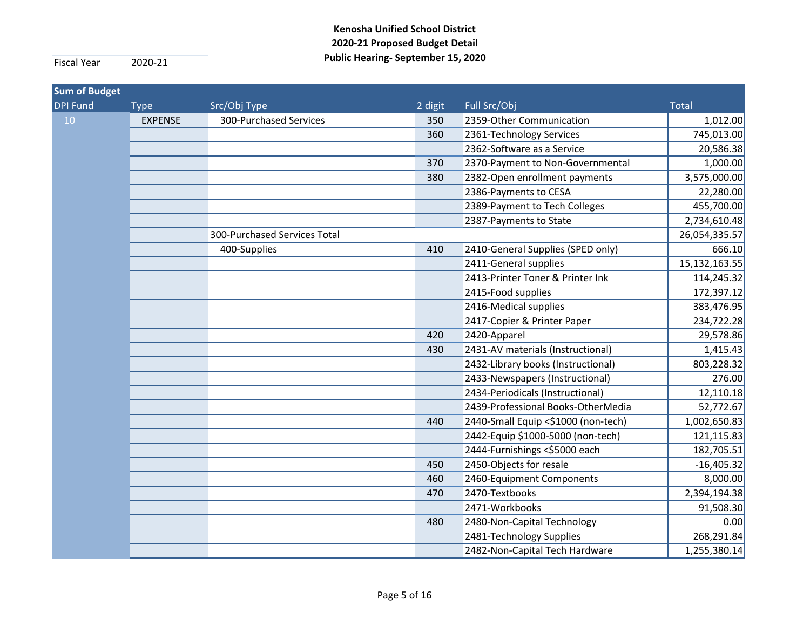| <b>Sum of Budget</b> |                |                              |         |                                     |               |
|----------------------|----------------|------------------------------|---------|-------------------------------------|---------------|
| <b>DPI Fund</b>      | <b>Type</b>    | Src/Obj Type                 | 2 digit | Full Src/Obj                        | <b>Total</b>  |
| 10                   | <b>EXPENSE</b> | 300-Purchased Services       | 350     | 2359-Other Communication            | 1,012.00      |
|                      |                |                              | 360     | 2361-Technology Services            | 745,013.00    |
|                      |                |                              |         | 2362-Software as a Service          | 20,586.38     |
|                      |                |                              | 370     | 2370-Payment to Non-Governmental    | 1,000.00      |
|                      |                |                              | 380     | 2382-Open enrollment payments       | 3,575,000.00  |
|                      |                |                              |         | 2386-Payments to CESA               | 22,280.00     |
|                      |                |                              |         | 2389-Payment to Tech Colleges       | 455,700.00    |
|                      |                |                              |         | 2387-Payments to State              | 2,734,610.48  |
|                      |                | 300-Purchased Services Total |         |                                     | 26,054,335.57 |
|                      |                | 400-Supplies                 | 410     | 2410-General Supplies (SPED only)   | 666.10        |
|                      |                |                              |         | 2411-General supplies               | 15,132,163.55 |
|                      |                |                              |         | 2413-Printer Toner & Printer Ink    | 114,245.32    |
|                      |                |                              |         | 2415-Food supplies                  | 172,397.12    |
|                      |                |                              |         | 2416-Medical supplies               | 383,476.95    |
|                      |                |                              |         | 2417-Copier & Printer Paper         | 234,722.28    |
|                      |                |                              | 420     | 2420-Apparel                        | 29,578.86     |
|                      |                |                              | 430     | 2431-AV materials (Instructional)   | 1,415.43      |
|                      |                |                              |         | 2432-Library books (Instructional)  | 803,228.32    |
|                      |                |                              |         | 2433-Newspapers (Instructional)     | 276.00        |
|                      |                |                              |         | 2434-Periodicals (Instructional)    | 12,110.18     |
|                      |                |                              |         | 2439-Professional Books-OtherMedia  | 52,772.67     |
|                      |                |                              | 440     | 2440-Small Equip <\$1000 (non-tech) | 1,002,650.83  |
|                      |                |                              |         | 2442-Equip \$1000-5000 (non-tech)   | 121,115.83    |
|                      |                |                              |         | 2444-Furnishings <\$5000 each       | 182,705.51    |
|                      |                |                              | 450     | 2450-Objects for resale             | $-16,405.32$  |
|                      |                |                              | 460     | 2460-Equipment Components           | 8,000.00      |
|                      |                |                              | 470     | 2470-Textbooks                      | 2,394,194.38  |
|                      |                |                              |         | 2471-Workbooks                      | 91,508.30     |
|                      |                |                              | 480     | 2480-Non-Capital Technology         | 0.00          |
|                      |                |                              |         | 2481-Technology Supplies            | 268,291.84    |
|                      |                |                              |         | 2482-Non-Capital Tech Hardware      | 1,255,380.14  |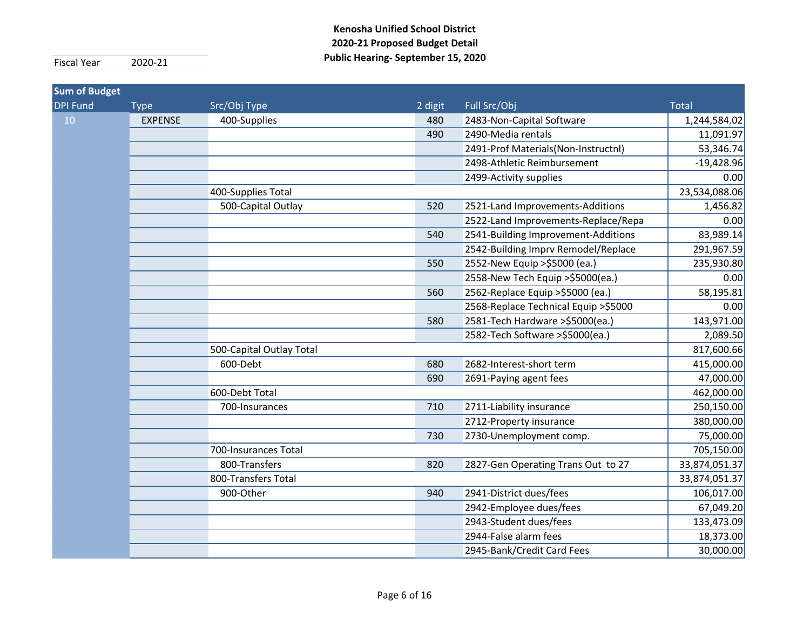| <b>Sum of Budget</b> |                |                          |         |                                       |               |
|----------------------|----------------|--------------------------|---------|---------------------------------------|---------------|
| <b>DPI Fund</b>      | <b>Type</b>    | Src/Obj Type             | 2 digit | Full Src/Obj                          | <b>Total</b>  |
| 10                   | <b>EXPENSE</b> | 400-Supplies             | 480     | 2483-Non-Capital Software             | 1,244,584.02  |
|                      |                |                          | 490     | 2490-Media rentals                    | 11,091.97     |
|                      |                |                          |         | 2491-Prof Materials(Non-Instructnl)   | 53,346.74     |
|                      |                |                          |         | 2498-Athletic Reimbursement           | $-19,428.96$  |
|                      |                |                          |         | 2499-Activity supplies                | 0.00          |
|                      |                | 400-Supplies Total       |         |                                       | 23,534,088.06 |
|                      |                | 500-Capital Outlay       | 520     | 2521-Land Improvements-Additions      | 1,456.82      |
|                      |                |                          |         | 2522-Land Improvements-Replace/Repa   | 0.00          |
|                      |                |                          | 540     | 2541-Building Improvement-Additions   | 83,989.14     |
|                      |                |                          |         | 2542-Building Imprv Remodel/Replace   | 291,967.59    |
|                      |                |                          | 550     | 2552-New Equip >\$5000 (ea.)          | 235,930.80    |
|                      |                |                          |         | 2558-New Tech Equip > \$5000(ea.)     | 0.00          |
|                      |                |                          | 560     | 2562-Replace Equip > \$5000 (ea.)     | 58,195.81     |
|                      |                |                          |         | 2568-Replace Technical Equip > \$5000 | 0.00          |
|                      |                |                          | 580     | 2581-Tech Hardware >\$5000(ea.)       | 143,971.00    |
|                      |                |                          |         | 2582-Tech Software > \$5000 (ea.)     | 2,089.50      |
|                      |                | 500-Capital Outlay Total |         |                                       | 817,600.66    |
|                      |                | 600-Debt                 | 680     | 2682-Interest-short term              | 415,000.00    |
|                      |                |                          | 690     | 2691-Paying agent fees                | 47,000.00     |
|                      |                | 600-Debt Total           |         |                                       | 462,000.00    |
|                      |                | 700-Insurances           | 710     | 2711-Liability insurance              | 250,150.00    |
|                      |                |                          |         | 2712-Property insurance               | 380,000.00    |
|                      |                |                          | 730     | 2730-Unemployment comp.               | 75,000.00     |
|                      |                | 700-Insurances Total     |         |                                       | 705,150.00    |
|                      |                | 800-Transfers            | 820     | 2827-Gen Operating Trans Out to 27    | 33,874,051.37 |
|                      |                | 800-Transfers Total      |         |                                       | 33,874,051.37 |
|                      |                | 900-Other                | 940     | 2941-District dues/fees               | 106,017.00    |
|                      |                |                          |         | 2942-Employee dues/fees               | 67,049.20     |
|                      |                |                          |         | 2943-Student dues/fees                | 133,473.09    |
|                      |                |                          |         | 2944-False alarm fees                 | 18,373.00     |
|                      |                |                          |         | 2945-Bank/Credit Card Fees            | 30,000.00     |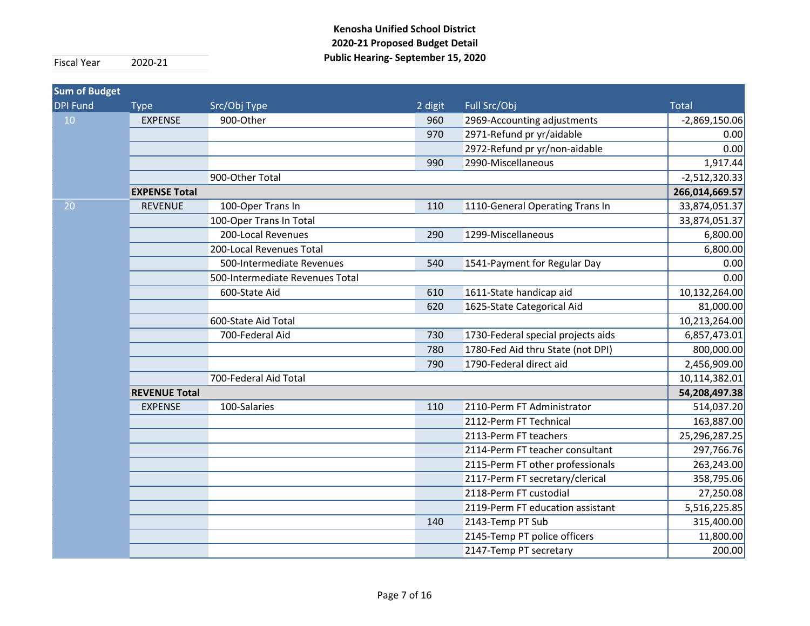| <b>Sum of Budget</b> |                      |                                 |         |                                    |                 |
|----------------------|----------------------|---------------------------------|---------|------------------------------------|-----------------|
| <b>DPI Fund</b>      | <b>Type</b>          | Src/Obj Type                    | 2 digit | Full Src/Obj                       | <b>Total</b>    |
| 10                   | <b>EXPENSE</b>       | 900-Other                       | 960     | 2969-Accounting adjustments        | $-2,869,150.06$ |
|                      |                      |                                 | 970     | 2971-Refund pr yr/aidable          | 0.00            |
|                      |                      |                                 |         | 2972-Refund pr yr/non-aidable      | 0.00            |
|                      |                      |                                 | 990     | 2990-Miscellaneous                 | 1,917.44        |
|                      |                      | 900-Other Total                 |         |                                    | $-2,512,320.33$ |
|                      | <b>EXPENSE Total</b> |                                 |         |                                    | 266,014,669.57  |
| 20                   | <b>REVENUE</b>       | 100-Oper Trans In               | 110     | 1110-General Operating Trans In    | 33,874,051.37   |
|                      |                      | 100-Oper Trans In Total         |         |                                    | 33,874,051.37   |
|                      |                      | 200-Local Revenues              | 290     | 1299-Miscellaneous                 | 6,800.00        |
|                      |                      | 200-Local Revenues Total        |         |                                    | 6,800.00        |
|                      |                      | 500-Intermediate Revenues       | 540     | 1541-Payment for Regular Day       | 0.00            |
|                      |                      | 500-Intermediate Revenues Total |         |                                    | 0.00            |
|                      |                      | 600-State Aid                   | 610     | 1611-State handicap aid            | 10,132,264.00   |
|                      |                      |                                 | 620     | 1625-State Categorical Aid         | 81,000.00       |
|                      |                      | 600-State Aid Total             |         |                                    | 10,213,264.00   |
|                      |                      | 700-Federal Aid                 | 730     | 1730-Federal special projects aids | 6,857,473.01    |
|                      |                      |                                 | 780     | 1780-Fed Aid thru State (not DPI)  | 800,000.00      |
|                      |                      |                                 | 790     | 1790-Federal direct aid            | 2,456,909.00    |
|                      |                      | 700-Federal Aid Total           |         |                                    | 10,114,382.01   |
|                      | <b>REVENUE Total</b> |                                 |         |                                    | 54,208,497.38   |
|                      | <b>EXPENSE</b>       | 100-Salaries                    | 110     | 2110-Perm FT Administrator         | 514,037.20      |
|                      |                      |                                 |         | 2112-Perm FT Technical             | 163,887.00      |
|                      |                      |                                 |         | 2113-Perm FT teachers              | 25,296,287.25   |
|                      |                      |                                 |         | 2114-Perm FT teacher consultant    | 297,766.76      |
|                      |                      |                                 |         | 2115-Perm FT other professionals   | 263,243.00      |
|                      |                      |                                 |         | 2117-Perm FT secretary/clerical    | 358,795.06      |
|                      |                      |                                 |         | 2118-Perm FT custodial             | 27,250.08       |
|                      |                      |                                 |         | 2119-Perm FT education assistant   | 5,516,225.85    |
|                      |                      |                                 | 140     | 2143-Temp PT Sub                   | 315,400.00      |
|                      |                      |                                 |         | 2145-Temp PT police officers       | 11,800.00       |
|                      |                      |                                 |         | 2147-Temp PT secretary             | 200.00          |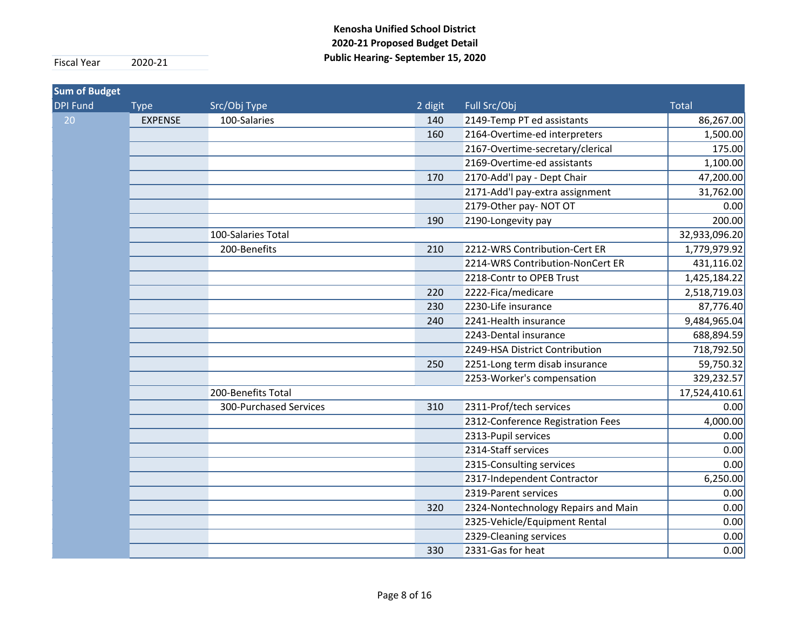| <b>Sum of Budget</b> |                |                        |         |                                     |               |
|----------------------|----------------|------------------------|---------|-------------------------------------|---------------|
| <b>DPI Fund</b>      | <b>Type</b>    | Src/Obj Type           | 2 digit | Full Src/Obj                        | <b>Total</b>  |
| 20                   | <b>EXPENSE</b> | 100-Salaries           | 140     | 2149-Temp PT ed assistants          | 86,267.00     |
|                      |                |                        | 160     | 2164-Overtime-ed interpreters       | 1,500.00      |
|                      |                |                        |         | 2167-Overtime-secretary/clerical    | 175.00        |
|                      |                |                        |         | 2169-Overtime-ed assistants         | 1,100.00      |
|                      |                |                        | 170     | 2170-Add'l pay - Dept Chair         | 47,200.00     |
|                      |                |                        |         | 2171-Add'l pay-extra assignment     | 31,762.00     |
|                      |                |                        |         | 2179-Other pay-NOT OT               | 0.00          |
|                      |                |                        | 190     | 2190-Longevity pay                  | 200.00        |
|                      |                | 100-Salaries Total     |         |                                     | 32,933,096.20 |
|                      |                | 200-Benefits           | 210     | 2212-WRS Contribution-Cert ER       | 1,779,979.92  |
|                      |                |                        |         | 2214-WRS Contribution-NonCert ER    | 431,116.02    |
|                      |                |                        |         | 2218-Contr to OPEB Trust            | 1,425,184.22  |
|                      |                |                        | 220     | 2222-Fica/medicare                  | 2,518,719.03  |
|                      |                |                        | 230     | 2230-Life insurance                 | 87,776.40     |
|                      |                |                        | 240     | 2241-Health insurance               | 9,484,965.04  |
|                      |                |                        |         | 2243-Dental insurance               | 688,894.59    |
|                      |                |                        |         | 2249-HSA District Contribution      | 718,792.50    |
|                      |                |                        | 250     | 2251-Long term disab insurance      | 59,750.32     |
|                      |                |                        |         | 2253-Worker's compensation          | 329,232.57    |
|                      |                | 200-Benefits Total     |         |                                     | 17,524,410.61 |
|                      |                | 300-Purchased Services | 310     | 2311-Prof/tech services             | 0.00          |
|                      |                |                        |         | 2312-Conference Registration Fees   | 4,000.00      |
|                      |                |                        |         | 2313-Pupil services                 | 0.00          |
|                      |                |                        |         | 2314-Staff services                 | 0.00          |
|                      |                |                        |         | 2315-Consulting services            | 0.00          |
|                      |                |                        |         | 2317-Independent Contractor         | 6,250.00      |
|                      |                |                        |         | 2319-Parent services                | 0.00          |
|                      |                |                        | 320     | 2324-Nontechnology Repairs and Main | 0.00          |
|                      |                |                        |         | 2325-Vehicle/Equipment Rental       | 0.00          |
|                      |                |                        |         | 2329-Cleaning services              | 0.00          |
|                      |                |                        | 330     | 2331-Gas for heat                   | 0.00          |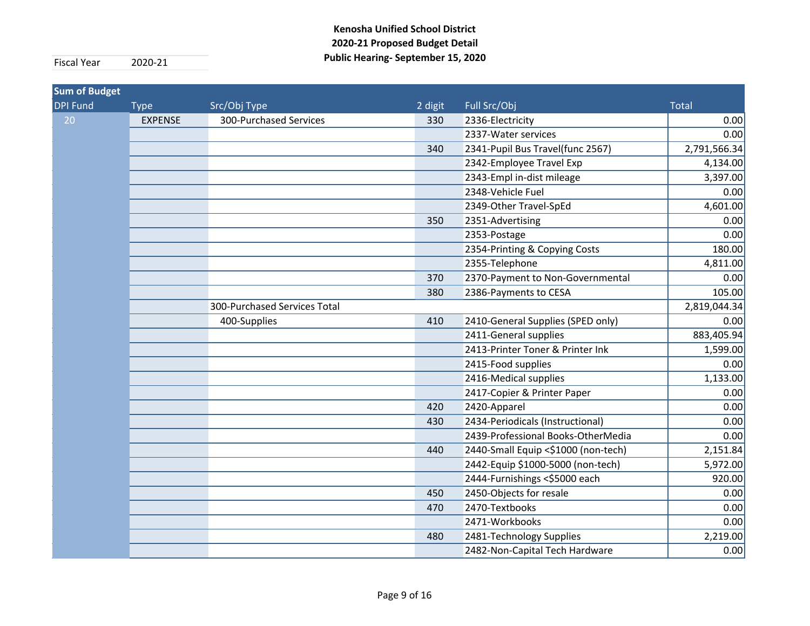| <b>Sum of Budget</b> |                |                              |         |                                     |              |
|----------------------|----------------|------------------------------|---------|-------------------------------------|--------------|
| <b>DPI Fund</b>      | <b>Type</b>    | Src/Obj Type                 | 2 digit | Full Src/Obj                        | <b>Total</b> |
| 20                   | <b>EXPENSE</b> | 300-Purchased Services       | 330     | 2336-Electricity                    | 0.00         |
|                      |                |                              |         | 2337-Water services                 | 0.00         |
|                      |                |                              | 340     | 2341-Pupil Bus Travel(func 2567)    | 2,791,566.34 |
|                      |                |                              |         | 2342-Employee Travel Exp            | 4,134.00     |
|                      |                |                              |         | 2343-Empl in-dist mileage           | 3,397.00     |
|                      |                |                              |         | 2348-Vehicle Fuel                   | 0.00         |
|                      |                |                              |         | 2349-Other Travel-SpEd              | 4,601.00     |
|                      |                |                              | 350     | 2351-Advertising                    | 0.00         |
|                      |                |                              |         | 2353-Postage                        | 0.00         |
|                      |                |                              |         | 2354-Printing & Copying Costs       | 180.00       |
|                      |                |                              |         | 2355-Telephone                      | 4,811.00     |
|                      |                |                              | 370     | 2370-Payment to Non-Governmental    | 0.00         |
|                      |                |                              | 380     | 2386-Payments to CESA               | 105.00       |
|                      |                | 300-Purchased Services Total |         |                                     | 2,819,044.34 |
|                      |                | 400-Supplies                 | 410     | 2410-General Supplies (SPED only)   | 0.00         |
|                      |                |                              |         | 2411-General supplies               | 883,405.94   |
|                      |                |                              |         | 2413-Printer Toner & Printer Ink    | 1,599.00     |
|                      |                |                              |         | 2415-Food supplies                  | 0.00         |
|                      |                |                              |         | 2416-Medical supplies               | 1,133.00     |
|                      |                |                              |         | 2417-Copier & Printer Paper         | 0.00         |
|                      |                |                              | 420     | 2420-Apparel                        | 0.00         |
|                      |                |                              | 430     | 2434-Periodicals (Instructional)    | 0.00         |
|                      |                |                              |         | 2439-Professional Books-OtherMedia  | 0.00         |
|                      |                |                              | 440     | 2440-Small Equip <\$1000 (non-tech) | 2,151.84     |
|                      |                |                              |         | 2442-Equip \$1000-5000 (non-tech)   | 5,972.00     |
|                      |                |                              |         | 2444-Furnishings <\$5000 each       | 920.00       |
|                      |                |                              | 450     | 2450-Objects for resale             | 0.00         |
|                      |                |                              | 470     | 2470-Textbooks                      | 0.00         |
|                      |                |                              |         | 2471-Workbooks                      | 0.00         |
|                      |                |                              | 480     | 2481-Technology Supplies            | 2,219.00     |
|                      |                |                              |         | 2482-Non-Capital Tech Hardware      | 0.00         |
|                      |                |                              |         |                                     |              |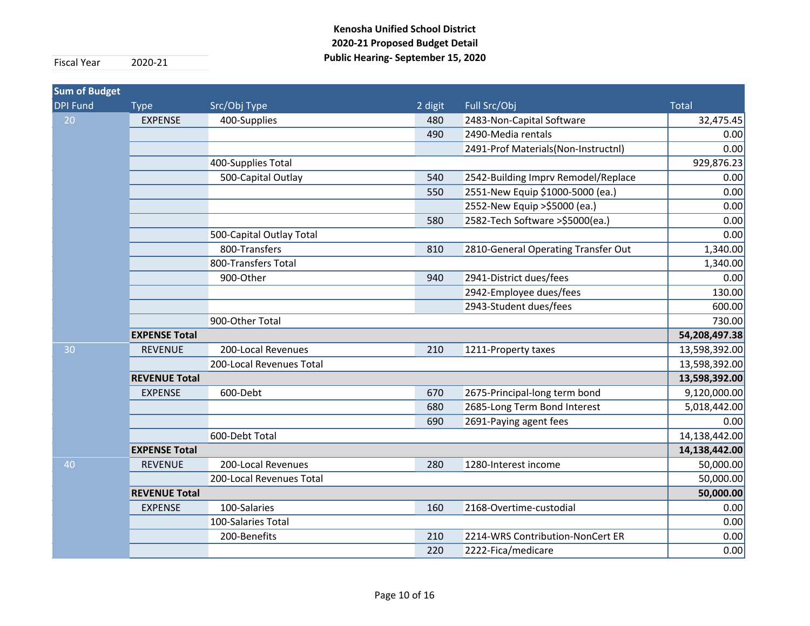| <b>Sum of Budget</b> |                      |                          |         |                                     |               |
|----------------------|----------------------|--------------------------|---------|-------------------------------------|---------------|
| <b>DPI Fund</b>      | <b>Type</b>          | Src/Obj Type             | 2 digit | Full Src/Obj                        | <b>Total</b>  |
| 20                   | <b>EXPENSE</b>       | 400-Supplies             | 480     | 2483-Non-Capital Software           | 32,475.45     |
|                      |                      |                          | 490     | 2490-Media rentals                  | 0.00          |
|                      |                      |                          |         | 2491-Prof Materials(Non-Instructnl) | 0.00          |
|                      |                      | 400-Supplies Total       |         |                                     | 929,876.23    |
|                      |                      | 500-Capital Outlay       | 540     | 2542-Building Imprv Remodel/Replace | 0.00          |
|                      |                      |                          | 550     | 2551-New Equip \$1000-5000 (ea.)    | 0.00          |
|                      |                      |                          |         | 2552-New Equip > \$5000 (ea.)       | 0.00          |
|                      |                      |                          | 580     | 2582-Tech Software > \$5000 (ea.)   | 0.00          |
|                      |                      | 500-Capital Outlay Total |         |                                     | 0.00          |
|                      |                      | 800-Transfers            | 810     | 2810-General Operating Transfer Out | 1,340.00      |
|                      |                      | 800-Transfers Total      |         |                                     | 1,340.00      |
|                      |                      | 900-Other                | 940     | 2941-District dues/fees             | 0.00          |
|                      |                      |                          |         | 2942-Employee dues/fees             | 130.00        |
|                      |                      |                          |         | 2943-Student dues/fees              | 600.00        |
|                      |                      | 900-Other Total          |         |                                     | 730.00        |
|                      | <b>EXPENSE Total</b> |                          |         |                                     | 54,208,497.38 |
| 30                   | <b>REVENUE</b>       | 200-Local Revenues       | 210     | 1211-Property taxes                 | 13,598,392.00 |
|                      |                      | 200-Local Revenues Total |         |                                     | 13,598,392.00 |
|                      | <b>REVENUE Total</b> |                          |         |                                     | 13,598,392.00 |
|                      | <b>EXPENSE</b>       | 600-Debt                 | 670     | 2675-Principal-long term bond       | 9,120,000.00  |
|                      |                      |                          | 680     | 2685-Long Term Bond Interest        | 5,018,442.00  |
|                      |                      |                          | 690     | 2691-Paying agent fees              | 0.00          |
|                      |                      | 600-Debt Total           |         |                                     | 14,138,442.00 |
|                      | <b>EXPENSE Total</b> |                          |         |                                     | 14,138,442.00 |
| 40                   | <b>REVENUE</b>       | 200-Local Revenues       | 280     | 1280-Interest income                | 50,000.00     |
|                      |                      | 200-Local Revenues Total |         |                                     | 50,000.00     |
|                      | <b>REVENUE Total</b> |                          |         |                                     | 50,000.00     |
|                      | <b>EXPENSE</b>       | 100-Salaries             | 160     | 2168-Overtime-custodial             | 0.00          |
|                      |                      | 100-Salaries Total       |         |                                     | 0.00          |
|                      |                      | 200-Benefits             | 210     | 2214-WRS Contribution-NonCert ER    | 0.00          |
|                      |                      |                          | 220     | 2222-Fica/medicare                  | 0.00          |
|                      |                      |                          |         |                                     |               |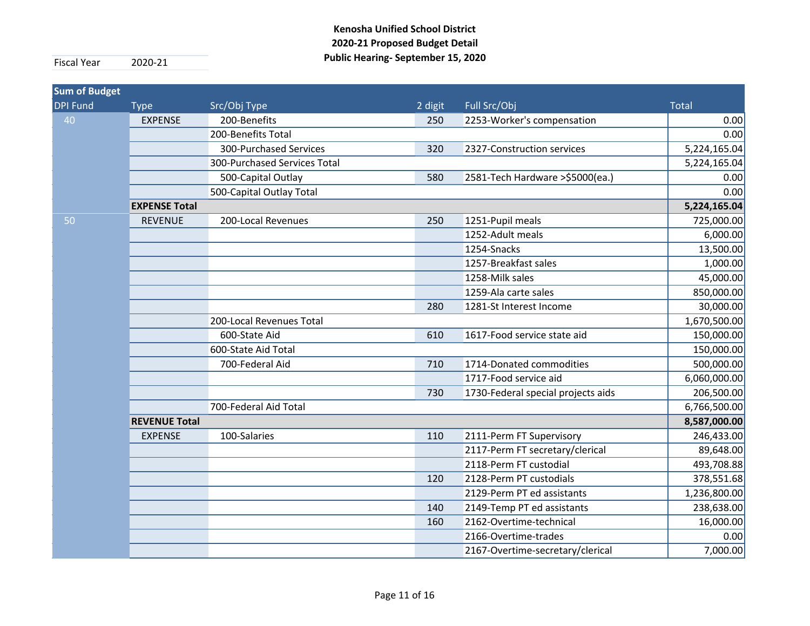| <b>Sum of Budget</b> |                      |                              |         |                                    |              |
|----------------------|----------------------|------------------------------|---------|------------------------------------|--------------|
| <b>DPI Fund</b>      | <b>Type</b>          | Src/Obj Type                 | 2 digit | Full Src/Obj                       | <b>Total</b> |
| 40                   | <b>EXPENSE</b>       | 200-Benefits                 | 250     | 2253-Worker's compensation         | 0.00         |
|                      |                      | 200-Benefits Total           |         |                                    | 0.00         |
|                      |                      | 300-Purchased Services       | 320     | 2327-Construction services         | 5,224,165.04 |
|                      |                      | 300-Purchased Services Total |         |                                    | 5,224,165.04 |
|                      |                      | 500-Capital Outlay           | 580     | 2581-Tech Hardware >\$5000(ea.)    | 0.00         |
|                      |                      | 500-Capital Outlay Total     |         |                                    | 0.00         |
|                      | <b>EXPENSE Total</b> |                              |         |                                    | 5,224,165.04 |
| 50                   | <b>REVENUE</b>       | 200-Local Revenues           | 250     | 1251-Pupil meals                   | 725,000.00   |
|                      |                      |                              |         | 1252-Adult meals                   | 6,000.00     |
|                      |                      |                              |         | 1254-Snacks                        | 13,500.00    |
|                      |                      |                              |         | 1257-Breakfast sales               | 1,000.00     |
|                      |                      |                              |         | 1258-Milk sales                    | 45,000.00    |
|                      |                      |                              |         | 1259-Ala carte sales               | 850,000.00   |
|                      |                      |                              | 280     | 1281-St Interest Income            | 30,000.00    |
|                      |                      | 200-Local Revenues Total     |         |                                    | 1,670,500.00 |
|                      |                      | 600-State Aid                | 610     | 1617-Food service state aid        | 150,000.00   |
|                      |                      | 600-State Aid Total          |         |                                    | 150,000.00   |
|                      |                      | 700-Federal Aid              | 710     | 1714-Donated commodities           | 500,000.00   |
|                      |                      |                              |         | 1717-Food service aid              | 6,060,000.00 |
|                      |                      |                              | 730     | 1730-Federal special projects aids | 206,500.00   |
|                      |                      | 700-Federal Aid Total        |         |                                    | 6,766,500.00 |
|                      | <b>REVENUE Total</b> |                              |         |                                    | 8,587,000.00 |
|                      | <b>EXPENSE</b>       | 100-Salaries                 | 110     | 2111-Perm FT Supervisory           | 246,433.00   |
|                      |                      |                              |         | 2117-Perm FT secretary/clerical    | 89,648.00    |
|                      |                      |                              |         | 2118-Perm FT custodial             | 493,708.88   |
|                      |                      |                              | 120     | 2128-Perm PT custodials            | 378,551.68   |
|                      |                      |                              |         | 2129-Perm PT ed assistants         | 1,236,800.00 |
|                      |                      |                              | 140     | 2149-Temp PT ed assistants         | 238,638.00   |
|                      |                      |                              | 160     | 2162-Overtime-technical            | 16,000.00    |
|                      |                      |                              |         | 2166-Overtime-trades               | 0.00         |
|                      |                      |                              |         | 2167-Overtime-secretary/clerical   | 7,000.00     |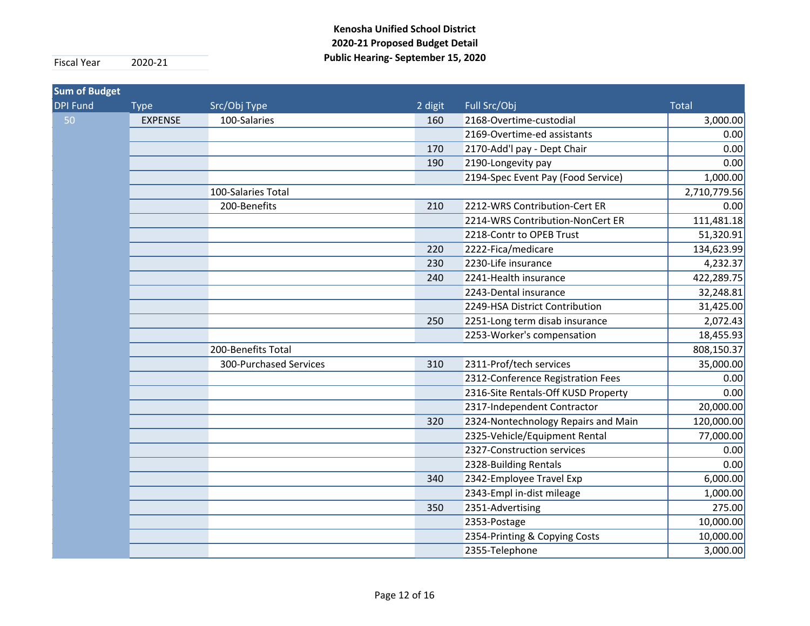| <b>Sum of Budget</b> |                |                        |         |                                     |              |
|----------------------|----------------|------------------------|---------|-------------------------------------|--------------|
| <b>DPI Fund</b>      | <b>Type</b>    | Src/Obj Type           | 2 digit | Full Src/Obj                        | <b>Total</b> |
| 50                   | <b>EXPENSE</b> | 100-Salaries           | 160     | 2168-Overtime-custodial             | 3,000.00     |
|                      |                |                        |         | 2169-Overtime-ed assistants         | 0.00         |
|                      |                |                        | 170     | 2170-Add'l pay - Dept Chair         | 0.00         |
|                      |                |                        | 190     | 2190-Longevity pay                  | 0.00         |
|                      |                |                        |         | 2194-Spec Event Pay (Food Service)  | 1,000.00     |
|                      |                | 100-Salaries Total     |         |                                     | 2,710,779.56 |
|                      |                | 200-Benefits           | 210     | 2212-WRS Contribution-Cert ER       | 0.00         |
|                      |                |                        |         | 2214-WRS Contribution-NonCert ER    | 111,481.18   |
|                      |                |                        |         | 2218-Contr to OPEB Trust            | 51,320.91    |
|                      |                |                        | 220     | 2222-Fica/medicare                  | 134,623.99   |
|                      |                |                        | 230     | 2230-Life insurance                 | 4,232.37     |
|                      |                |                        | 240     | 2241-Health insurance               | 422,289.75   |
|                      |                |                        |         | 2243-Dental insurance               | 32,248.81    |
|                      |                |                        |         | 2249-HSA District Contribution      | 31,425.00    |
|                      |                |                        | 250     | 2251-Long term disab insurance      | 2,072.43     |
|                      |                |                        |         | 2253-Worker's compensation          | 18,455.93    |
|                      |                | 200-Benefits Total     |         |                                     | 808,150.37   |
|                      |                | 300-Purchased Services | 310     | 2311-Prof/tech services             | 35,000.00    |
|                      |                |                        |         | 2312-Conference Registration Fees   | 0.00         |
|                      |                |                        |         | 2316-Site Rentals-Off KUSD Property | 0.00         |
|                      |                |                        |         | 2317-Independent Contractor         | 20,000.00    |
|                      |                |                        | 320     | 2324-Nontechnology Repairs and Main | 120,000.00   |
|                      |                |                        |         | 2325-Vehicle/Equipment Rental       | 77,000.00    |
|                      |                |                        |         | 2327-Construction services          | 0.00         |
|                      |                |                        |         | 2328-Building Rentals               | 0.00         |
|                      |                |                        | 340     | 2342-Employee Travel Exp            | 6,000.00     |
|                      |                |                        |         | 2343-Empl in-dist mileage           | 1,000.00     |
|                      |                |                        | 350     | 2351-Advertising                    | 275.00       |
|                      |                |                        |         | 2353-Postage                        | 10,000.00    |
|                      |                |                        |         | 2354-Printing & Copying Costs       | 10,000.00    |
|                      |                |                        |         | 2355-Telephone                      | 3,000.00     |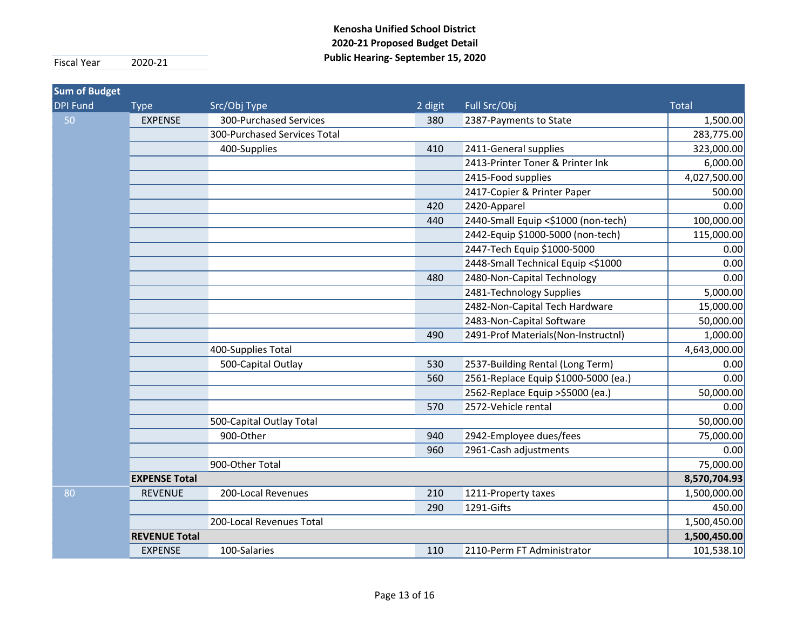| <b>Sum of Budget</b> |                      |                              |         |                                      |              |
|----------------------|----------------------|------------------------------|---------|--------------------------------------|--------------|
| <b>DPI Fund</b>      | <b>Type</b>          | Src/Obj Type                 | 2 digit | Full Src/Obj                         | <b>Total</b> |
| 50                   | <b>EXPENSE</b>       | 300-Purchased Services       | 380     | 2387-Payments to State               | 1,500.00     |
|                      |                      | 300-Purchased Services Total |         |                                      | 283,775.00   |
|                      |                      | 400-Supplies                 | 410     | 2411-General supplies                | 323,000.00   |
|                      |                      |                              |         | 2413-Printer Toner & Printer Ink     | 6,000.00     |
|                      |                      |                              |         | 2415-Food supplies                   | 4,027,500.00 |
|                      |                      |                              |         | 2417-Copier & Printer Paper          | 500.00       |
|                      |                      |                              | 420     | 2420-Apparel                         | 0.00         |
|                      |                      |                              | 440     | 2440-Small Equip <\$1000 (non-tech)  | 100,000.00   |
|                      |                      |                              |         | 2442-Equip \$1000-5000 (non-tech)    | 115,000.00   |
|                      |                      |                              |         | 2447-Tech Equip \$1000-5000          | 0.00         |
|                      |                      |                              |         | 2448-Small Technical Equip <\$1000   | 0.00         |
|                      |                      |                              | 480     | 2480-Non-Capital Technology          | 0.00         |
|                      |                      |                              |         | 2481-Technology Supplies             | 5,000.00     |
|                      |                      |                              |         | 2482-Non-Capital Tech Hardware       | 15,000.00    |
|                      |                      |                              |         | 2483-Non-Capital Software            | 50,000.00    |
|                      |                      |                              | 490     | 2491-Prof Materials(Non-Instructnl)  | 1,000.00     |
|                      |                      | 400-Supplies Total           |         |                                      | 4,643,000.00 |
|                      |                      | 500-Capital Outlay           | 530     | 2537-Building Rental (Long Term)     | 0.00         |
|                      |                      |                              | 560     | 2561-Replace Equip \$1000-5000 (ea.) | 0.00         |
|                      |                      |                              |         | 2562-Replace Equip > \$5000 (ea.)    | 50,000.00    |
|                      |                      |                              | 570     | 2572-Vehicle rental                  | 0.00         |
|                      |                      | 500-Capital Outlay Total     |         |                                      | 50,000.00    |
|                      |                      | 900-Other                    | 940     | 2942-Employee dues/fees              | 75,000.00    |
|                      |                      |                              | 960     | 2961-Cash adjustments                | 0.00         |
|                      |                      | 900-Other Total              |         |                                      | 75,000.00    |
|                      | <b>EXPENSE Total</b> |                              |         |                                      | 8,570,704.93 |
| 80                   | <b>REVENUE</b>       | 200-Local Revenues           | 210     | 1211-Property taxes                  | 1,500,000.00 |
|                      |                      |                              | 290     | 1291-Gifts                           | 450.00       |
|                      |                      | 200-Local Revenues Total     |         |                                      | 1,500,450.00 |
|                      | <b>REVENUE Total</b> |                              |         |                                      | 1,500,450.00 |
|                      | <b>EXPENSE</b>       | 100-Salaries                 | 110     | 2110-Perm FT Administrator           | 101,538.10   |

Page 13 of 16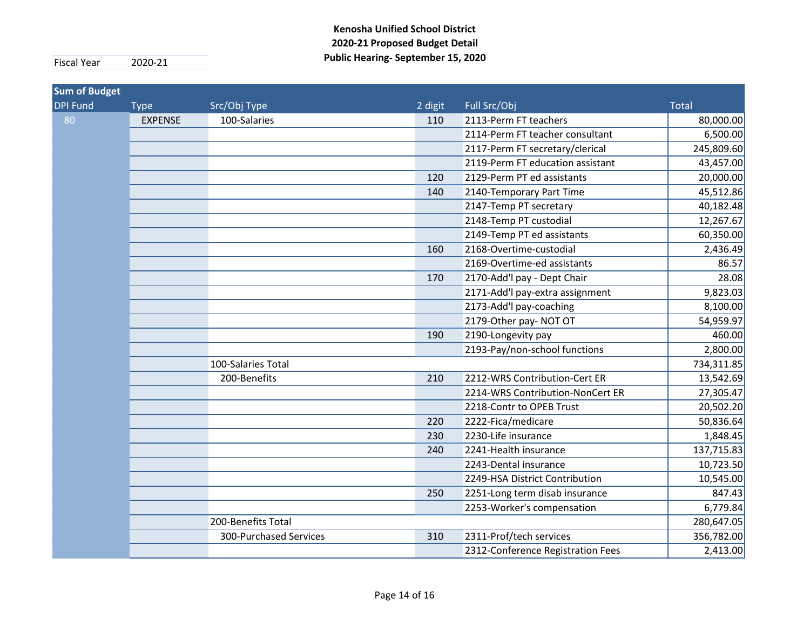| <b>Sum of Budget</b> |                |                        |         |                                   |              |
|----------------------|----------------|------------------------|---------|-----------------------------------|--------------|
| <b>DPI Fund</b>      | <b>Type</b>    | Src/Obj Type           | 2 digit | Full Src/Obj                      | <b>Total</b> |
| 80                   | <b>EXPENSE</b> | 100-Salaries           | 110     | 2113-Perm FT teachers             | 80,000.00    |
|                      |                |                        |         | 2114-Perm FT teacher consultant   | 6,500.00     |
|                      |                |                        |         | 2117-Perm FT secretary/clerical   | 245,809.60   |
|                      |                |                        |         | 2119-Perm FT education assistant  | 43,457.00    |
|                      |                |                        | 120     | 2129-Perm PT ed assistants        | 20,000.00    |
|                      |                |                        | 140     | 2140-Temporary Part Time          | 45,512.86    |
|                      |                |                        |         | 2147-Temp PT secretary            | 40,182.48    |
|                      |                |                        |         | 2148-Temp PT custodial            | 12,267.67    |
|                      |                |                        |         | 2149-Temp PT ed assistants        | 60,350.00    |
|                      |                |                        | 160     | 2168-Overtime-custodial           | 2,436.49     |
|                      |                |                        |         | 2169-Overtime-ed assistants       | 86.57        |
|                      |                |                        | 170     | 2170-Add'l pay - Dept Chair       | 28.08        |
|                      |                |                        |         | 2171-Add'l pay-extra assignment   | 9,823.03     |
|                      |                |                        |         | 2173-Add'l pay-coaching           | 8,100.00     |
|                      |                |                        |         | 2179-Other pay- NOT OT            | 54,959.97    |
|                      |                |                        | 190     | 2190-Longevity pay                | 460.00       |
|                      |                |                        |         | 2193-Pay/non-school functions     | 2,800.00     |
|                      |                | 100-Salaries Total     |         |                                   | 734,311.85   |
|                      |                | 200-Benefits           | 210     | 2212-WRS Contribution-Cert ER     | 13,542.69    |
|                      |                |                        |         | 2214-WRS Contribution-NonCert ER  | 27,305.47    |
|                      |                |                        |         | 2218-Contr to OPEB Trust          | 20,502.20    |
|                      |                |                        | 220     | 2222-Fica/medicare                | 50,836.64    |
|                      |                |                        | 230     | 2230-Life insurance               | 1,848.45     |
|                      |                |                        | 240     | 2241-Health insurance             | 137,715.83   |
|                      |                |                        |         | 2243-Dental insurance             | 10,723.50    |
|                      |                |                        |         | 2249-HSA District Contribution    | 10,545.00    |
|                      |                |                        | 250     | 2251-Long term disab insurance    | 847.43       |
|                      |                |                        |         | 2253-Worker's compensation        | 6,779.84     |
|                      |                | 200-Benefits Total     |         |                                   | 280,647.05   |
|                      |                | 300-Purchased Services | 310     | 2311-Prof/tech services           | 356,782.00   |
|                      |                |                        |         | 2312-Conference Registration Fees | 2,413.00     |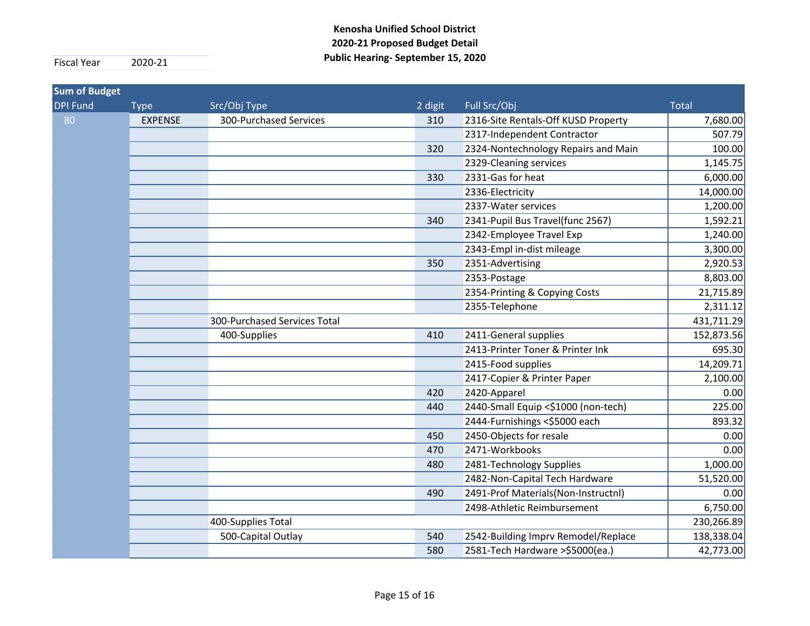| <b>Sum of Budget</b> |                |                              |         |                                     |              |
|----------------------|----------------|------------------------------|---------|-------------------------------------|--------------|
| <b>DPI Fund</b>      | <b>Type</b>    | Src/Obj Type                 | 2 digit | Full Src/Obj                        | <b>Total</b> |
| 80                   | <b>EXPENSE</b> | 300-Purchased Services       | 310     | 2316-Site Rentals-Off KUSD Property | 7,680.00     |
|                      |                |                              |         | 2317-Independent Contractor         | 507.79       |
|                      |                |                              | 320     | 2324-Nontechnology Repairs and Main | 100.00       |
|                      |                |                              |         | 2329-Cleaning services              | 1,145.75     |
|                      |                |                              | 330     | 2331-Gas for heat                   | 6,000.00     |
|                      |                |                              |         | 2336-Electricity                    | 14,000.00    |
|                      |                |                              |         | 2337-Water services                 | 1,200.00     |
|                      |                |                              | 340     | 2341-Pupil Bus Travel(func 2567)    | 1,592.21     |
|                      |                |                              |         | 2342-Employee Travel Exp            | 1,240.00     |
|                      |                |                              |         | 2343-Empl in-dist mileage           | 3,300.00     |
|                      |                |                              | 350     | 2351-Advertising                    | 2,920.53     |
|                      |                |                              |         | 2353-Postage                        | 8,803.00     |
|                      |                |                              |         | 2354-Printing & Copying Costs       | 21,715.89    |
|                      |                |                              |         | 2355-Telephone                      | 2,311.12     |
|                      |                | 300-Purchased Services Total |         |                                     | 431,711.29   |
|                      |                | 400-Supplies                 | 410     | 2411-General supplies               | 152,873.56   |
|                      |                |                              |         | 2413-Printer Toner & Printer Ink    | 695.30       |
|                      |                |                              |         | 2415-Food supplies                  | 14,209.71    |
|                      |                |                              |         | 2417-Copier & Printer Paper         | 2,100.00     |
|                      |                |                              | 420     | 2420-Apparel                        | 0.00         |
|                      |                |                              | 440     | 2440-Small Equip <\$1000 (non-tech) | 225.00       |
|                      |                |                              |         | 2444-Furnishings <\$5000 each       | 893.32       |
|                      |                |                              | 450     | 2450-Objects for resale             | 0.00         |
|                      |                |                              | 470     | 2471-Workbooks                      | 0.00         |
|                      |                |                              | 480     | 2481-Technology Supplies            | 1,000.00     |
|                      |                |                              |         | 2482-Non-Capital Tech Hardware      | 51,520.00    |
|                      |                |                              | 490     | 2491-Prof Materials(Non-Instructnl) | 0.00         |
|                      |                |                              |         | 2498-Athletic Reimbursement         | 6,750.00     |
|                      |                | 400-Supplies Total           |         |                                     | 230,266.89   |
|                      |                | 500-Capital Outlay           | 540     | 2542-Building Imprv Remodel/Replace | 138,338.04   |
|                      |                |                              | 580     | 2581-Tech Hardware > \$5000 (ea.)   | 42,773.00    |